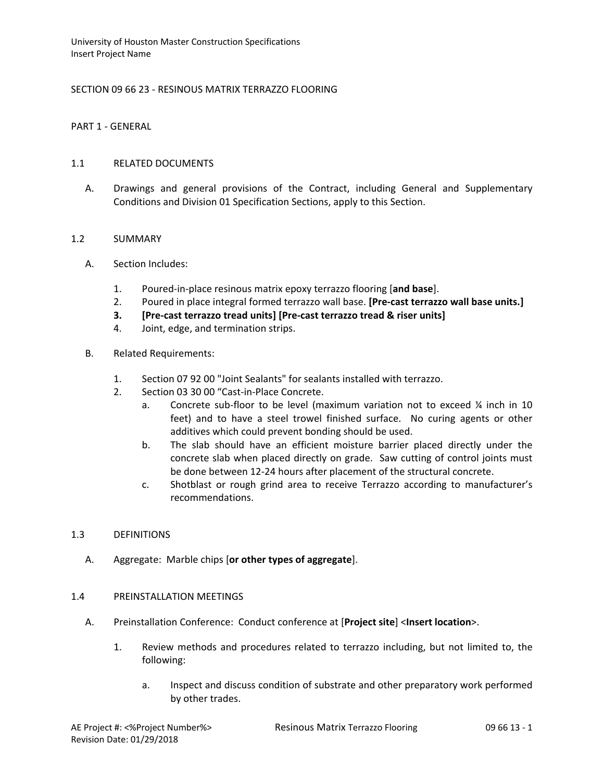# SECTION 09 66 23 - RESINOUS MATRIX TERRAZZO FLOORING

## PART 1 - GENERAL

## 1.1 RELATED DOCUMENTS

A. Drawings and general provisions of the Contract, including General and Supplementary Conditions and Division 01 Specification Sections, apply to this Section.

### 1.2 SUMMARY

- A. Section Includes:
	- 1. Poured-in-place resinous matrix epoxy terrazzo flooring [**and base**].
	- 2. Poured in place integral formed terrazzo wall base. **[Pre-cast terrazzo wall base units.]**
	- **3. [Pre-cast terrazzo tread units] [Pre-cast terrazzo tread & riser units]**
	- 4. Joint, edge, and termination strips.
- B. Related Requirements:
	- 1. Section 07 92 00 "Joint Sealants" for sealants installed with terrazzo.
	- 2. Section 03 30 00 "Cast-in-Place Concrete.
		- a. Concrete sub-floor to be level (maximum variation not to exceed ¼ inch in 10 feet) and to have a steel trowel finished surface. No curing agents or other additives which could prevent bonding should be used.
		- b. The slab should have an efficient moisture barrier placed directly under the concrete slab when placed directly on grade. Saw cutting of control joints must be done between 12-24 hours after placement of the structural concrete.
		- c. Shotblast or rough grind area to receive Terrazzo according to manufacturer's recommendations.

#### 1.3 DEFINITIONS

A. Aggregate: Marble chips [**or other types of aggregate**].

## 1.4 PREINSTALLATION MEETINGS

- A. Preinstallation Conference: Conduct conference at [**Project site**] <**Insert location**>.
	- 1. Review methods and procedures related to terrazzo including, but not limited to, the following:
		- a. Inspect and discuss condition of substrate and other preparatory work performed by other trades.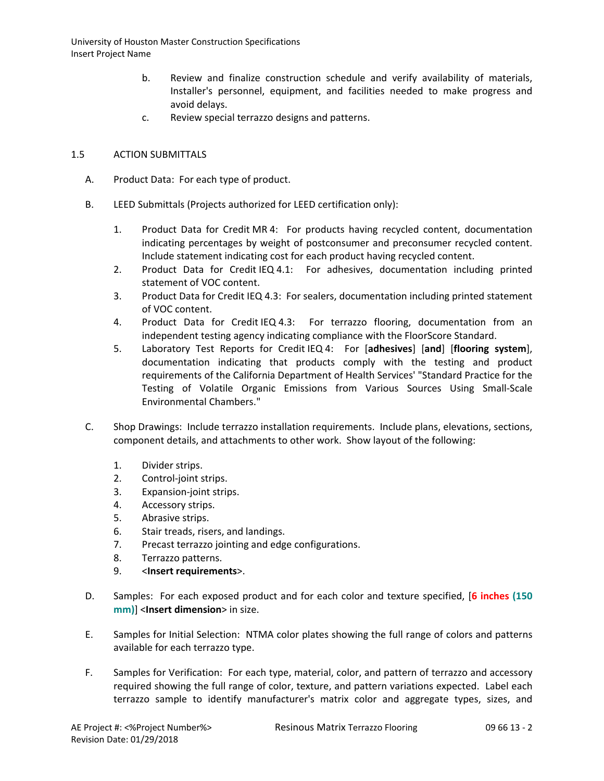- b. Review and finalize construction schedule and verify availability of materials, Installer's personnel, equipment, and facilities needed to make progress and avoid delays.
- c. Review special terrazzo designs and patterns.

# 1.5 ACTION SUBMITTALS

- A. Product Data: For each type of product.
- B. LEED Submittals (Projects authorized for LEED certification only):
	- 1. Product Data for Credit MR 4: For products having recycled content, documentation indicating percentages by weight of postconsumer and preconsumer recycled content. Include statement indicating cost for each product having recycled content.
	- 2. Product Data for Credit IEQ 4.1: For adhesives, documentation including printed statement of VOC content.
	- 3. Product Data for Credit IEQ 4.3: For sealers, documentation including printed statement of VOC content.
	- 4. Product Data for Credit IEQ 4.3: For terrazzo flooring, documentation from an independent testing agency indicating compliance with the FloorScore Standard.
	- 5. Laboratory Test Reports for Credit IEQ 4: For [**adhesives**] [**and**] [**flooring system**], documentation indicating that products comply with the testing and product requirements of the California Department of Health Services' "Standard Practice for the Testing of Volatile Organic Emissions from Various Sources Using Small-Scale Environmental Chambers."
- C. Shop Drawings: Include terrazzo installation requirements. Include plans, elevations, sections, component details, and attachments to other work. Show layout of the following:
	- 1. Divider strips.
	- 2. Control-joint strips.
	- 3. Expansion-joint strips.
	- 4. Accessory strips.
	- 5. Abrasive strips.
	- 6. Stair treads, risers, and landings.
	- 7. Precast terrazzo jointing and edge configurations.
	- 8. Terrazzo patterns.
	- 9. <**Insert requirements**>.
- D. Samples: For each exposed product and for each color and texture specified, [**6 inches (150 mm)**] <**Insert dimension**> in size.
- E. Samples for Initial Selection: NTMA color plates showing the full range of colors and patterns available for each terrazzo type.
- F. Samples for Verification: For each type, material, color, and pattern of terrazzo and accessory required showing the full range of color, texture, and pattern variations expected. Label each terrazzo sample to identify manufacturer's matrix color and aggregate types, sizes, and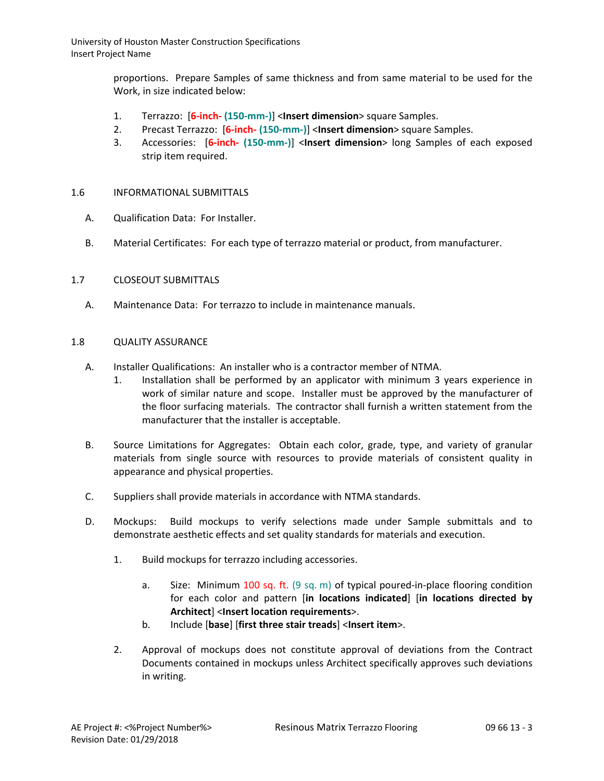> proportions. Prepare Samples of same thickness and from same material to be used for the Work, in size indicated below:

- 1. Terrazzo: [**6-inch- (150-mm-)**] <**Insert dimension**> square Samples.
- 2. Precast Terrazzo: [**6-inch- (150-mm-)**] <**Insert dimension**> square Samples.
- 3. Accessories: [**6-inch- (150-mm-)**] <**Insert dimension**> long Samples of each exposed strip item required.

#### 1.6 INFORMATIONAL SUBMITTALS

- A. Qualification Data: For Installer.
- B. Material Certificates: For each type of terrazzo material or product, from manufacturer.

#### 1.7 CLOSEOUT SUBMITTALS

A. Maintenance Data: For terrazzo to include in maintenance manuals.

#### 1.8 QUALITY ASSURANCE

- A. Installer Qualifications: An installer who is a contractor member of NTMA.
	- 1. Installation shall be performed by an applicator with minimum 3 years experience in work of similar nature and scope. Installer must be approved by the manufacturer of the floor surfacing materials. The contractor shall furnish a written statement from the manufacturer that the installer is acceptable.
- B. Source Limitations for Aggregates: Obtain each color, grade, type, and variety of granular materials from single source with resources to provide materials of consistent quality in appearance and physical properties.
- C. Suppliers shall provide materials in accordance with NTMA standards.
- D. Mockups: Build mockups to verify selections made under Sample submittals and to demonstrate aesthetic effects and set quality standards for materials and execution.
	- 1. Build mockups for terrazzo including accessories.
		- a. Size: Minimum 100 sq. ft. (9 sq. m) of typical poured-in-place flooring condition for each color and pattern [**in locations indicated**] [**in locations directed by Architect**] <**Insert location requirements**>.
		- b. Include [**base**] [**first three stair treads**] <**Insert item**>.
	- 2. Approval of mockups does not constitute approval of deviations from the Contract Documents contained in mockups unless Architect specifically approves such deviations in writing.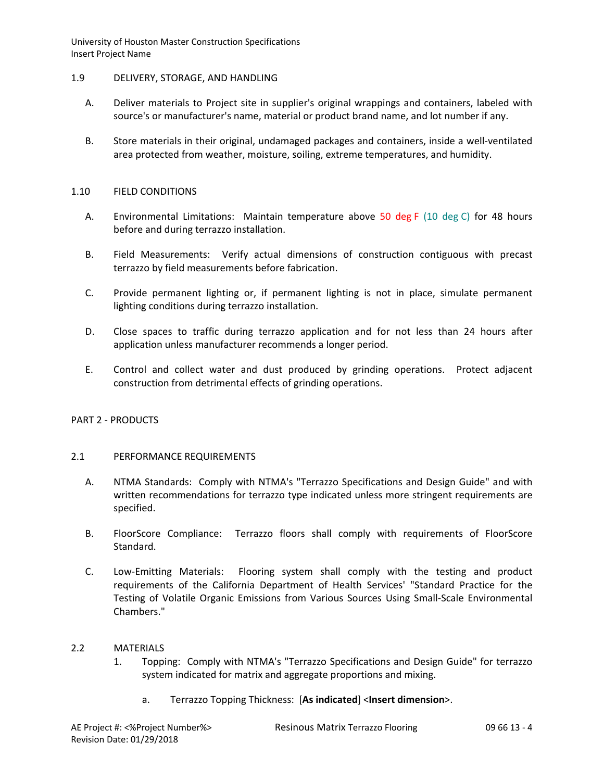## 1.9 DELIVERY, STORAGE, AND HANDLING

- A. Deliver materials to Project site in supplier's original wrappings and containers, labeled with source's or manufacturer's name, material or product brand name, and lot number if any.
- B. Store materials in their original, undamaged packages and containers, inside a well-ventilated area protected from weather, moisture, soiling, extreme temperatures, and humidity.

## 1.10 FIELD CONDITIONS

- A. Environmental Limitations: Maintain temperature above 50 deg F (10 deg C) for 48 hours before and during terrazzo installation.
- B. Field Measurements: Verify actual dimensions of construction contiguous with precast terrazzo by field measurements before fabrication.
- C. Provide permanent lighting or, if permanent lighting is not in place, simulate permanent lighting conditions during terrazzo installation.
- D. Close spaces to traffic during terrazzo application and for not less than 24 hours after application unless manufacturer recommends a longer period.
- E. Control and collect water and dust produced by grinding operations. Protect adjacent construction from detrimental effects of grinding operations.

# PART 2 - PRODUCTS

#### 2.1 PERFORMANCE REQUIREMENTS

- A. NTMA Standards: Comply with NTMA's "Terrazzo Specifications and Design Guide" and with written recommendations for terrazzo type indicated unless more stringent requirements are specified.
- B. FloorScore Compliance: Terrazzo floors shall comply with requirements of FloorScore Standard.
- C. Low-Emitting Materials: Flooring system shall comply with the testing and product requirements of the California Department of Health Services' "Standard Practice for the Testing of Volatile Organic Emissions from Various Sources Using Small-Scale Environmental Chambers."

#### 2.2 MATERIALS

- 1. Topping: Comply with NTMA's "Terrazzo Specifications and Design Guide" for terrazzo system indicated for matrix and aggregate proportions and mixing.
	- a. Terrazzo Topping Thickness: [**As indicated**] <**Insert dimension**>.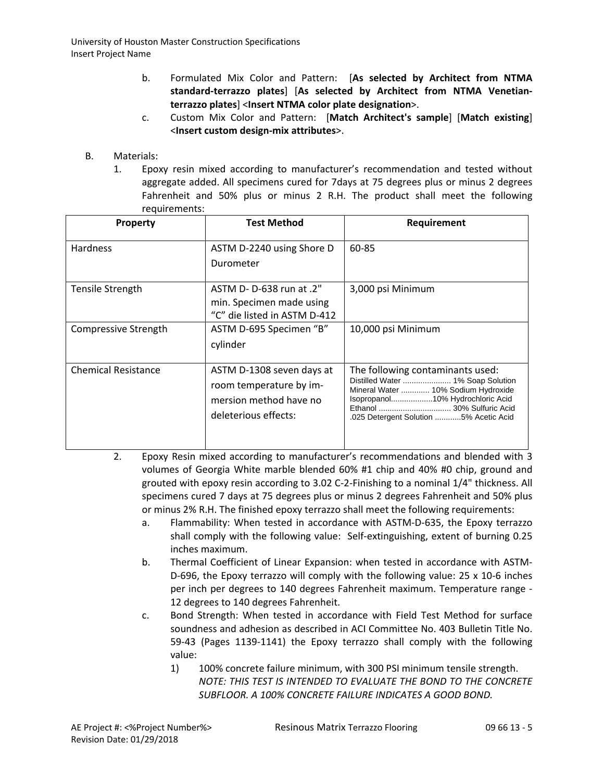- b. Formulated Mix Color and Pattern: [**As selected by Architect from NTMA standard-terrazzo plates**] [**As selected by Architect from NTMA Venetianterrazzo plates**] <**Insert NTMA color plate designation**>.
- c. Custom Mix Color and Pattern: [**Match Architect's sample**] [**Match existing**] <**Insert custom design-mix attributes**>.
- B. Materials:
	- 1. Epoxy resin mixed according to manufacturer's recommendation and tested without aggregate added. All specimens cured for 7days at 75 degrees plus or minus 2 degrees Fahrenheit and 50% plus or minus 2 R.H. The product shall meet the following requirements:

| <b>Property</b>            | Test Method                                                                                            | Requirement                                                                                                                                                                                |
|----------------------------|--------------------------------------------------------------------------------------------------------|--------------------------------------------------------------------------------------------------------------------------------------------------------------------------------------------|
| <b>Hardness</b>            | ASTM D-2240 using Shore D<br>Durometer                                                                 | 60-85                                                                                                                                                                                      |
| <b>Tensile Strength</b>    | ASTM D- D-638 run at .2"<br>min. Specimen made using<br>"C" die listed in ASTM D-412                   | 3,000 psi Minimum                                                                                                                                                                          |
| Compressive Strength       | ASTM D-695 Specimen "B"<br>cylinder                                                                    | 10,000 psi Minimum                                                                                                                                                                         |
| <b>Chemical Resistance</b> | ASTM D-1308 seven days at<br>room temperature by im-<br>mersion method have no<br>deleterious effects: | The following contaminants used:<br>Distilled Water  1% Soap Solution<br>Mineral Water  10% Sodium Hydroxide<br>Isopropanol10% Hydrochloric Acid<br>.025 Detergent Solution 5% Acetic Acid |

- 2. Epoxy Resin mixed according to manufacturer's recommendations and blended with 3 volumes of Georgia White marble blended 60% #1 chip and 40% #0 chip, ground and grouted with epoxy resin according to 3.02 C-2-Finishing to a nominal 1/4" thickness. All specimens cured 7 days at 75 degrees plus or minus 2 degrees Fahrenheit and 50% plus or minus 2% R.H. The finished epoxy terrazzo shall meet the following requirements:
	- a. Flammability: When tested in accordance with ASTM-D-635, the Epoxy terrazzo shall comply with the following value: Self-extinguishing, extent of burning 0.25 inches maximum.
	- b. Thermal Coefficient of Linear Expansion: when tested in accordance with ASTM-D-696, the Epoxy terrazzo will comply with the following value: 25 x 10-6 inches per inch per degrees to 140 degrees Fahrenheit maximum. Temperature range - 12 degrees to 140 degrees Fahrenheit.
	- c. Bond Strength: When tested in accordance with Field Test Method for surface soundness and adhesion as described in ACI Committee No. 403 Bulletin Title No. 59-43 (Pages 1139-1141) the Epoxy terrazzo shall comply with the following value:
		- 1) 100% concrete failure minimum, with 300 PSI minimum tensile strength. *NOTE: THIS TEST IS INTENDED TO EVALUATE THE BOND TO THE CONCRETE SUBFLOOR. A 100% CONCRETE FAILURE INDICATES A GOOD BOND.*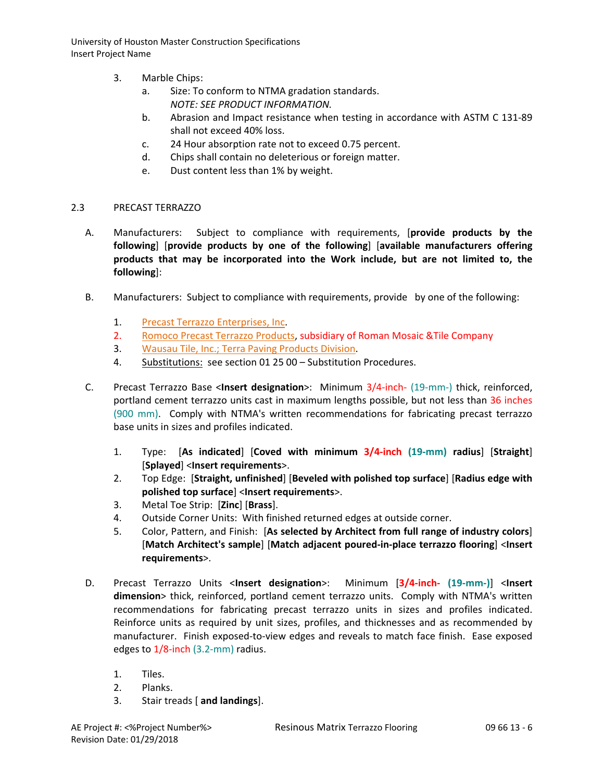- 3. Marble Chips:
	- a. Size: To conform to NTMA gradation standards. *NOTE: SEE PRODUCT INFORMATION.*
	- b. Abrasion and Impact resistance when testing in accordance with ASTM C 131-89 shall not exceed 40% loss.
	- c. 24 Hour absorption rate not to exceed 0.75 percent.
	- d. Chips shall contain no deleterious or foreign matter.
	- e. Dust content less than 1% by weight.

## 2.3 PRECAST TERRAZZO

- A. Manufacturers: Subject to compliance with requirements, [**provide products by the following**] [**provide products by one of the following**] [**available manufacturers offering products that may be incorporated into the Work include, but are not limited to, the following**]:
- B. Manufacturers: Subject to compliance with requirements, provide by one of the following:
	- 1. [Precast Terrazzo Enterprises, Inc.](http://www.specagent.com/LookUp/?uid=123456789861&mf=04&src=wd)
	- 2. [Romoco Precast Terrazzo Products,](http://www.specagent.com/LookUp/?uid=123456789862&mf=04&src=wd) subsidiary of Roman Mosaic &Tile Company
	- 3. [Wausau Tile, Inc.; Terra Paving Products Division.](http://www.specagent.com/LookUp/?uid=123456793241&mf=04&src=wd)
	- 4. Substitutions: see section 01 25 00 Substitution Procedures.
- C. Precast Terrazzo Base <**Insert designation**>: Minimum 3/4-inch- (19-mm-) thick, reinforced, portland cement terrazzo units cast in maximum lengths possible, but not less than 36 inches (900 mm). Comply with NTMA's written recommendations for fabricating precast terrazzo base units in sizes and profiles indicated.
	- 1. Type: [**As indicated**] [**Coved with minimum 3/4-inch (19-mm) radius**] [**Straight**] [**Splayed**] <**Insert requirements**>.
	- 2. Top Edge: [**Straight, unfinished**] [**Beveled with polished top surface**] [**Radius edge with polished top surface**] <**Insert requirements**>.
	- 3. Metal Toe Strip: [**Zinc**] [**Brass**].
	- 4. Outside Corner Units: With finished returned edges at outside corner.
	- 5. Color, Pattern, and Finish: [**As selected by Architect from full range of industry colors**] [**Match Architect's sample**] [**Match adjacent poured-in-place terrazzo flooring**] <**Insert requirements**>.
- D. Precast Terrazzo Units <**Insert designation**>: Minimum [**3/4-inch- (19-mm-)**] <**Insert dimension**> thick, reinforced, portland cement terrazzo units. Comply with NTMA's written recommendations for fabricating precast terrazzo units in sizes and profiles indicated. Reinforce units as required by unit sizes, profiles, and thicknesses and as recommended by manufacturer. Finish exposed-to-view edges and reveals to match face finish. Ease exposed edges to 1/8-inch (3.2-mm) radius.
	- 1. Tiles.
	- 2. Planks.
	- 3. Stair treads [ **and landings**].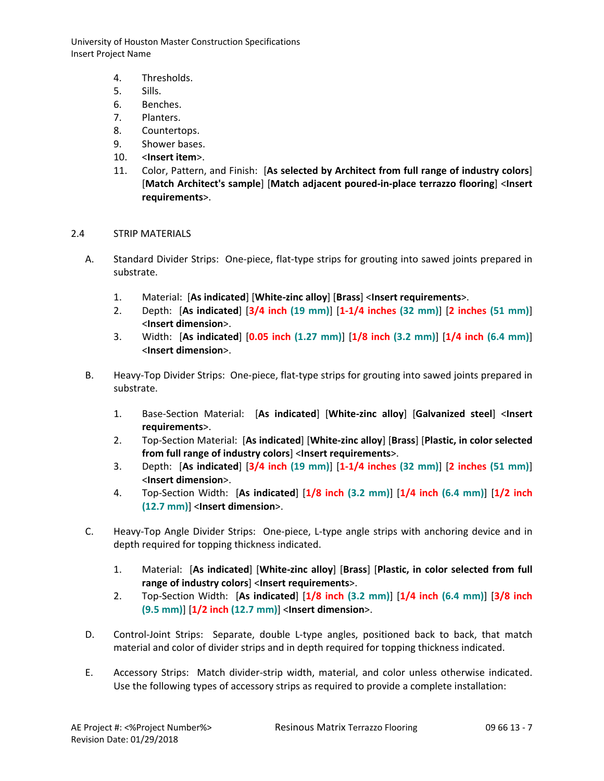- 4. Thresholds.
- 5. Sills.
- 6. Benches.
- 7. Planters.
- 8. Countertops.
- 9. Shower bases.
- 10. <**Insert item**>.
- 11. Color, Pattern, and Finish: [**As selected by Architect from full range of industry colors**] [**Match Architect's sample**] [**Match adjacent poured-in-place terrazzo flooring**] <**Insert requirements**>.
- 2.4 STRIP MATERIALS
	- A. Standard Divider Strips: One-piece, flat-type strips for grouting into sawed joints prepared in substrate.
		- 1. Material: [**As indicated**] [**White-zinc alloy**] [**Brass**] <**Insert requirements**>.
		- 2. Depth: [**As indicated**] [**3/4 inch (19 mm)**] [**1-1/4 inches (32 mm)**] [**2 inches (51 mm)**] <**Insert dimension**>.
		- 3. Width: [**As indicated**] [**0.05 inch (1.27 mm)**] [**1/8 inch (3.2 mm)**] [**1/4 inch (6.4 mm)**] <**Insert dimension**>.
	- B. Heavy-Top Divider Strips: One-piece, flat-type strips for grouting into sawed joints prepared in substrate.
		- 1. Base-Section Material: [**As indicated**] [**White-zinc alloy**] [**Galvanized steel**] <**Insert requirements**>.
		- 2. Top-Section Material: [**As indicated**] [**White-zinc alloy**] [**Brass**] [**Plastic, in color selected from full range of industry colors**] <**Insert requirements**>.
		- 3. Depth: [**As indicated**] [**3/4 inch (19 mm)**] [**1-1/4 inches (32 mm)**] [**2 inches (51 mm)**] <**Insert dimension**>.
		- 4. Top-Section Width: [**As indicated**] [**1/8 inch (3.2 mm)**] [**1/4 inch (6.4 mm)**] [**1/2 inch (12.7 mm)**] <**Insert dimension**>.
	- C. Heavy-Top Angle Divider Strips: One-piece, L-type angle strips with anchoring device and in depth required for topping thickness indicated.
		- 1. Material: [**As indicated**] [**White-zinc alloy**] [**Brass**] [**Plastic, in color selected from full range of industry colors**] <**Insert requirements**>.
		- 2. Top-Section Width: [**As indicated**] [**1/8 inch (3.2 mm)**] [**1/4 inch (6.4 mm)**] [**3/8 inch (9.5 mm)**] [**1/2 inch (12.7 mm)**] <**Insert dimension**>.
	- D. Control-Joint Strips: Separate, double L-type angles, positioned back to back, that match material and color of divider strips and in depth required for topping thickness indicated.
	- E. Accessory Strips: Match divider-strip width, material, and color unless otherwise indicated. Use the following types of accessory strips as required to provide a complete installation: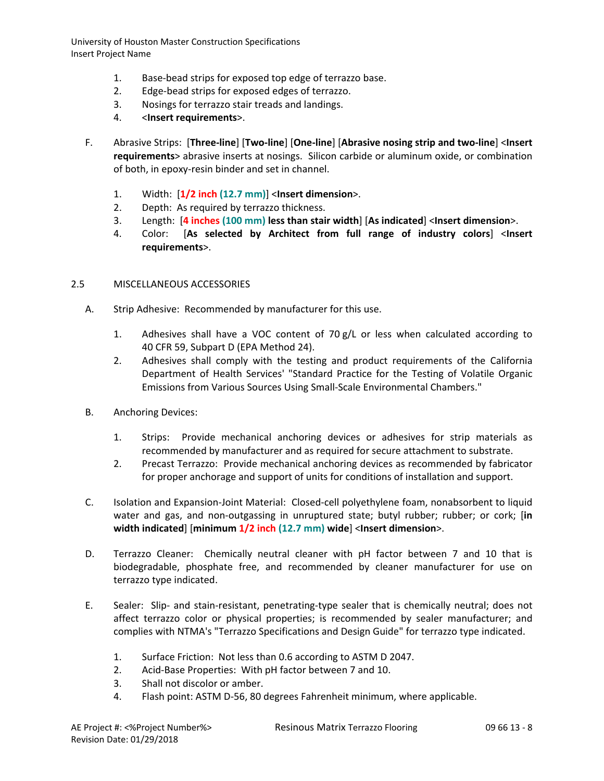- 1. Base-bead strips for exposed top edge of terrazzo base.
- 2. Edge-bead strips for exposed edges of terrazzo.
- 3. Nosings for terrazzo stair treads and landings.
- 4. <**Insert requirements**>.
- F. Abrasive Strips: [**Three-line**] [**Two-line**] [**One-line**] [**Abrasive nosing strip and two-line**] <**Insert requirements**> abrasive inserts at nosings. Silicon carbide or aluminum oxide, or combination of both, in epoxy-resin binder and set in channel.
	- 1. Width: [**1/2 inch (12.7 mm)**] <**Insert dimension**>.
	- 2. Depth: As required by terrazzo thickness.
	- 3. Length: [**4 inches (100 mm) less than stair width**] [**As indicated**] <**Insert dimension**>.
	- 4. Color: [**As selected by Architect from full range of industry colors**] <**Insert requirements**>.

## 2.5 MISCELLANEOUS ACCESSORIES

- A. Strip Adhesive: Recommended by manufacturer for this use.
	- 1. Adhesives shall have a VOC content of 70 g/L or less when calculated according to 40 CFR 59, Subpart D (EPA Method 24).
	- 2. Adhesives shall comply with the testing and product requirements of the California Department of Health Services' "Standard Practice for the Testing of Volatile Organic Emissions from Various Sources Using Small-Scale Environmental Chambers."
- B. Anchoring Devices:
	- 1. Strips: Provide mechanical anchoring devices or adhesives for strip materials as recommended by manufacturer and as required for secure attachment to substrate.
	- 2. Precast Terrazzo: Provide mechanical anchoring devices as recommended by fabricator for proper anchorage and support of units for conditions of installation and support.
- C. Isolation and Expansion-Joint Material: Closed-cell polyethylene foam, nonabsorbent to liquid water and gas, and non-outgassing in unruptured state; butyl rubber; rubber; or cork; [**in width indicated**] [**minimum 1/2 inch (12.7 mm) wide**] <**Insert dimension**>.
- D. Terrazzo Cleaner: Chemically neutral cleaner with pH factor between 7 and 10 that is biodegradable, phosphate free, and recommended by cleaner manufacturer for use on terrazzo type indicated.
- E. Sealer: Slip- and stain-resistant, penetrating-type sealer that is chemically neutral; does not affect terrazzo color or physical properties; is recommended by sealer manufacturer; and complies with NTMA's "Terrazzo Specifications and Design Guide" for terrazzo type indicated.
	- 1. Surface Friction: Not less than 0.6 according to ASTM D 2047.
	- 2. Acid-Base Properties: With pH factor between 7 and 10.
	- 3. Shall not discolor or amber.
	- 4. Flash point: ASTM D-56, 80 degrees Fahrenheit minimum, where applicable.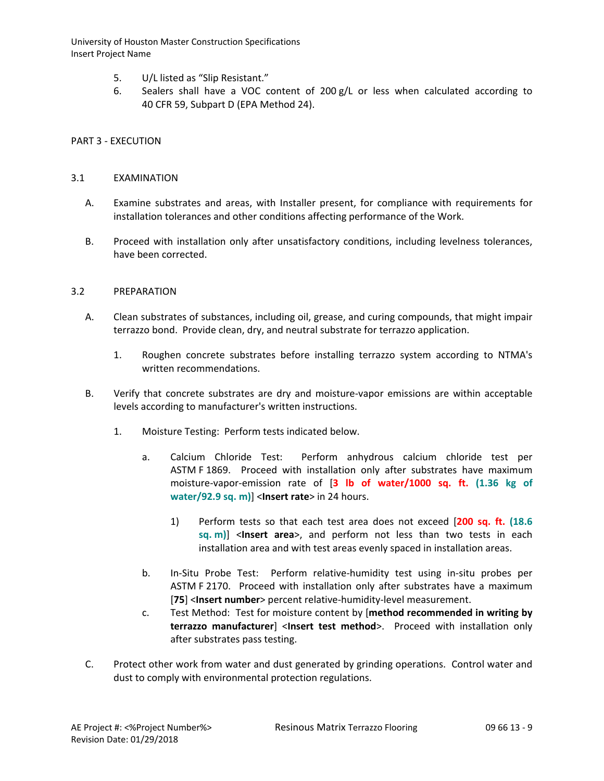- 5. U/L listed as "Slip Resistant."
- 6. Sealers shall have a VOC content of 200  $g/L$  or less when calculated according to 40 CFR 59, Subpart D (EPA Method 24).

# PART 3 - EXECUTION

## 3.1 EXAMINATION

- A. Examine substrates and areas, with Installer present, for compliance with requirements for installation tolerances and other conditions affecting performance of the Work.
- B. Proceed with installation only after unsatisfactory conditions, including levelness tolerances, have been corrected.

## 3.2 PREPARATION

- A. Clean substrates of substances, including oil, grease, and curing compounds, that might impair terrazzo bond. Provide clean, dry, and neutral substrate for terrazzo application.
	- 1. Roughen concrete substrates before installing terrazzo system according to NTMA's written recommendations.
- B. Verify that concrete substrates are dry and moisture-vapor emissions are within acceptable levels according to manufacturer's written instructions.
	- 1. Moisture Testing: Perform tests indicated below.
		- a. Calcium Chloride Test: Perform anhydrous calcium chloride test per ASTM F 1869. Proceed with installation only after substrates have maximum moisture-vapor-emission rate of [**3 lb of water/1000 sq. ft. (1.36 kg of water/92.9 sq. m)**] <**Insert rate**> in 24 hours.
			- 1) Perform tests so that each test area does not exceed [**200 sq. ft. (18.6 sq. m)**] <**Insert area**>, and perform not less than two tests in each installation area and with test areas evenly spaced in installation areas.
		- b. In-Situ Probe Test: Perform relative-humidity test using in-situ probes per ASTM F 2170. Proceed with installation only after substrates have a maximum [**75**] <**Insert number**> percent relative-humidity-level measurement.
		- c. Test Method: Test for moisture content by [**method recommended in writing by terrazzo manufacturer**] <**Insert test method**>. Proceed with installation only after substrates pass testing.
- C. Protect other work from water and dust generated by grinding operations. Control water and dust to comply with environmental protection regulations.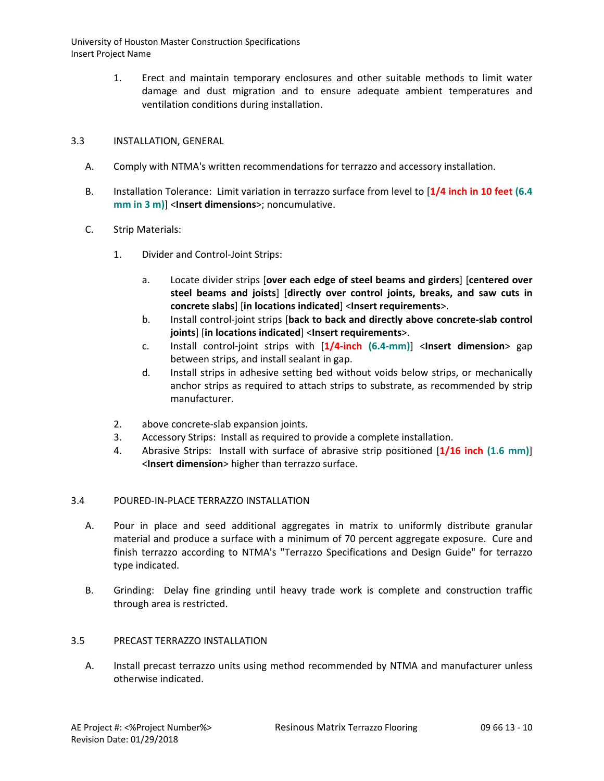> 1. Erect and maintain temporary enclosures and other suitable methods to limit water damage and dust migration and to ensure adequate ambient temperatures and ventilation conditions during installation.

# 3.3 INSTALLATION, GENERAL

- A. Comply with NTMA's written recommendations for terrazzo and accessory installation.
- B. Installation Tolerance: Limit variation in terrazzo surface from level to [**1/4 inch in 10 feet (6.4 mm in 3 m)**] <**Insert dimensions**>; noncumulative.
- C. Strip Materials:
	- 1. Divider and Control-Joint Strips:
		- a. Locate divider strips [**over each edge of steel beams and girders**] [**centered over steel beams and joists**] [**directly over control joints, breaks, and saw cuts in concrete slabs**] [**in locations indicated**] <**Insert requirements**>.
		- b. Install control-joint strips [**back to back and directly above concrete-slab control joints**] [**in locations indicated**] <**Insert requirements**>.
		- c. Install control-joint strips with [**1/4-inch (6.4-mm)**] <**Insert dimension**> gap between strips, and install sealant in gap.
		- d. Install strips in adhesive setting bed without voids below strips, or mechanically anchor strips as required to attach strips to substrate, as recommended by strip manufacturer.
	- 2. above concrete-slab expansion joints.
	- 3. Accessory Strips: Install as required to provide a complete installation.
	- 4. Abrasive Strips: Install with surface of abrasive strip positioned [**1/16 inch (1.6 mm)**] <**Insert dimension**> higher than terrazzo surface.

# 3.4 POURED-IN-PLACE TERRAZZO INSTALLATION

- A. Pour in place and seed additional aggregates in matrix to uniformly distribute granular material and produce a surface with a minimum of 70 percent aggregate exposure. Cure and finish terrazzo according to NTMA's "Terrazzo Specifications and Design Guide" for terrazzo type indicated.
- B. Grinding: Delay fine grinding until heavy trade work is complete and construction traffic through area is restricted.

# 3.5 PRECAST TERRAZZO INSTALLATION

A. Install precast terrazzo units using method recommended by NTMA and manufacturer unless otherwise indicated.